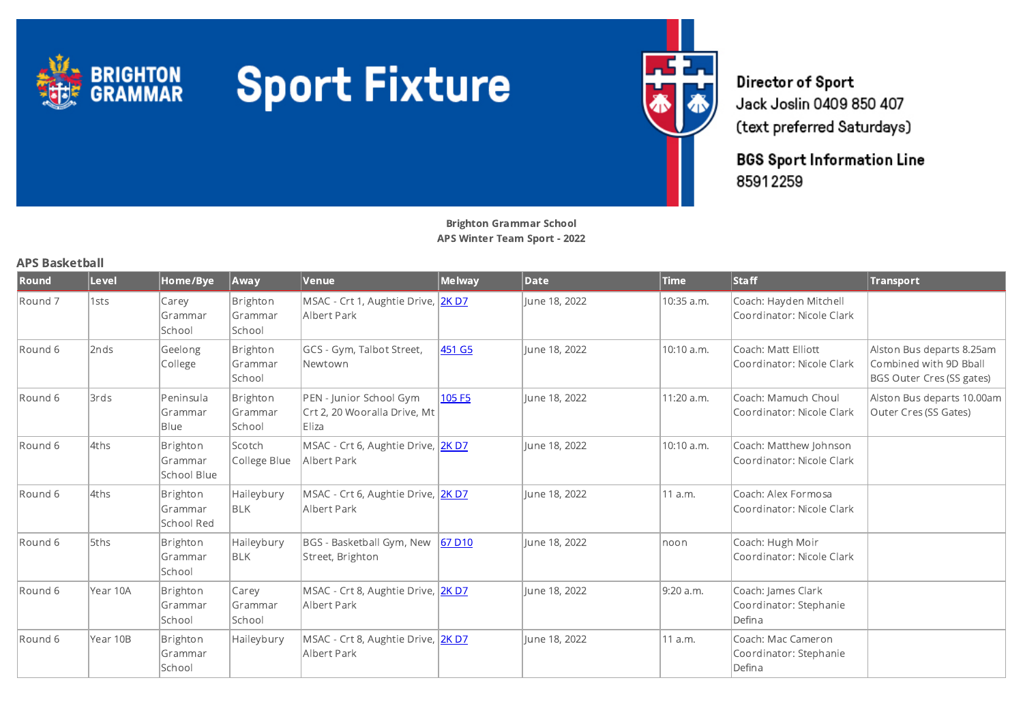

# **Sport Fixture**



Director of Sport Jack Joslin 0409 850 407 (text preferred Saturdays)

**BGS Sport Information Line** 85912259

#### Brighton Grammar School APS Winter Team Sport - 2022

#### APS Basketball

| Round   | Level    | Home/Bye                            | Away                          | <b>Venue</b>                                                     | Melway | <b>Date</b>   | <b>Time</b> | <b>Staff</b>                                           | <b>Transport</b>                                                                 |
|---------|----------|-------------------------------------|-------------------------------|------------------------------------------------------------------|--------|---------------|-------------|--------------------------------------------------------|----------------------------------------------------------------------------------|
| Round 7 | 1sts     | Carey<br>Grammar<br>School          | Brighton<br>Grammar<br>School | MSAC - Crt 1, Aughtie Drive, 2K D7<br>Albert Park                |        | June 18, 2022 | 10:35 a.m.  | Coach: Hayden Mitchell<br>Coordinator: Nicole Clark    |                                                                                  |
| Round 6 | 2nds     | Geelong<br>College                  | Brighton<br>Grammar<br>School | GCS - Gym, Talbot Street,<br>Newtown                             | 451 G5 | lune 18, 2022 | 10:10 a.m.  | Coach: Matt Elliott<br>Coordinator: Nicole Clark       | Alston Bus departs 8.25am<br>Combined with 9D Bball<br>BGS Outer Cres (SS gates) |
| Round 6 | 3rds     | Peninsula<br>Grammar<br><b>Blue</b> | Brighton<br>Grammar<br>School | PEN - Junior School Gym<br>Crt 2, 20 Wooralla Drive, Mt<br>Eliza | 105 F5 | June 18, 2022 | 11:20 a.m.  | Coach: Mamuch Choul<br>Coordinator: Nicole Clark       | Alston Bus departs 10.00am<br>Outer Cres (SS Gates)                              |
| Round 6 | 4ths     | Brighton<br>Grammar<br>School Blue  | Scotch<br>College Blue        | MSAC - Crt 6, Aughtie Drive, 2K D7<br>Albert Park                |        | lune 18, 2022 | 10:10 a.m.  | Coach: Matthew Johnson<br>Coordinator: Nicole Clark    |                                                                                  |
| Round 6 | 4ths     | Brighton<br>Grammar<br>School Red   | Haileybury<br><b>BLK</b>      | MSAC - Crt 6, Aughtie Drive, 2K D7<br>Albert Park                |        | June 18, 2022 | 11 a.m.     | Coach: Alex Formosa<br>Coordinator: Nicole Clark       |                                                                                  |
| Round 6 | 5ths     | Brighton<br>Grammar<br>School       | Haileybury<br>  BLK           | BGS - Basketball Gym, New<br>Street, Brighton                    | 67D10  | June 18, 2022 | noon        | Coach: Hugh Moir<br>Coordinator: Nicole Clark          |                                                                                  |
| Round 6 | Year 10A | Brighton<br>Grammar<br>School       | Carey<br>Grammar<br>School    | MSAC - Crt 8, Aughtie Drive, 2K D7<br>Albert Park                |        | June 18, 2022 | 9:20 a.m.   | Coach: James Clark<br>Coordinator: Stephanie<br>Defina |                                                                                  |
| Round 6 | Year 10B | Brighton<br>Grammar<br>School       | Haileybury                    | MSAC - Crt 8, Aughtie Drive, 2K D7<br>Albert Park                |        | June 18, 2022 | 11 a.m.     | Coach: Mac Cameron<br>Coordinator: Stephanie<br>Defina |                                                                                  |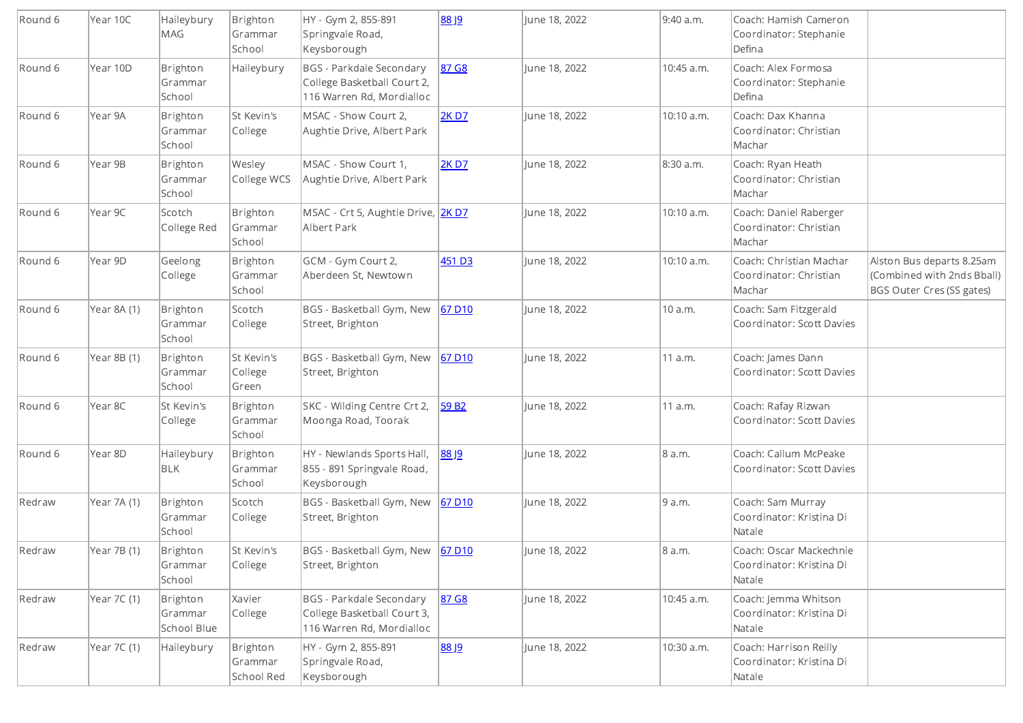| Round 6 | Year 10C    | Haileybury<br>MAG                  | Brighton<br>Grammar<br>School     | HY - Gym 2, 855-891<br>Springvale Road,<br>Keysborough                                      | 88 J <sub>2</sub>  | June 18, 2022 | 9:40 a.m.  | Coach: Hamish Cameron<br>Coordinator: Stephanie<br>Defina     |                                                                                      |
|---------|-------------|------------------------------------|-----------------------------------|---------------------------------------------------------------------------------------------|--------------------|---------------|------------|---------------------------------------------------------------|--------------------------------------------------------------------------------------|
| Round 6 | Year 10D    | Brighton<br>Grammar<br>School      | Haileybury                        | <b>BGS - Parkdale Secondary</b><br>College Basketball Court 2,<br>116 Warren Rd, Mordialloc | 87 G <sub>8</sub>  | June 18, 2022 | 10:45 a.m. | Coach: Alex Formosa<br>Coordinator: Stephanie<br>Defina       |                                                                                      |
| Round 6 | Year 9A     | Brighton<br>Grammar<br>School      | St Kevin's<br>College             | MSAC - Show Court 2,<br>Aughtie Drive, Albert Park                                          | <b>2KD7</b>        | June 18, 2022 | 10:10 a.m. | Coach: Dax Khanna<br>Coordinator: Christian<br>Machar         |                                                                                      |
| Round 6 | Year 9B     | Brighton<br>Grammar<br>School      | Wesley<br>College WCS             | MSAC - Show Court 1,<br>Aughtie Drive, Albert Park                                          | <b>2KD7</b>        | June 18, 2022 | 8:30 a.m.  | Coach: Ryan Heath<br>Coordinator: Christian<br>Machar         |                                                                                      |
| Round 6 | Year 9C     | Scotch<br>College Red              | Brighton<br>Grammar<br>School     | MSAC - Crt 5, Aughtie Drive, 2K D7<br>Albert Park                                           |                    | June 18, 2022 | 10:10 a.m. | Coach: Daniel Raberger<br>Coordinator: Christian<br>Machar    |                                                                                      |
| Round 6 | Year 9D     | Geelong<br>College                 | Brighton<br>Grammar<br>School     | GCM - Gym Court 2,<br>Aberdeen St, Newtown                                                  | 451 D <sub>3</sub> | June 18, 2022 | 10:10 a.m. | Coach: Christian Machar<br>Coordinator: Christian<br>Machar   | Alston Bus departs 8.25am<br>(Combined with 2nds Bball)<br>BGS Outer Cres (SS gates) |
| Round 6 | Year 8A (1) | Brighton<br>Grammar<br>School      | Scotch<br>College                 | BGS - Basketball Gym, New<br>Street, Brighton                                               | 67D10              | June 18, 2022 | 10 a.m.    | Coach: Sam Fitzgerald<br>Coordinator: Scott Davies            |                                                                                      |
| Round 6 | Year 8B (1) | Brighton<br>Grammar<br>School      | St Kevin's<br>College<br>Green    | BGS - Basketball Gym, New<br>Street, Brighton                                               | 67 D <sub>10</sub> | June 18, 2022 | 11 a.m.    | Coach: James Dann<br>Coordinator: Scott Davies                |                                                                                      |
| Round 6 | Year 8C     | St Kevin's<br>College              | Brighton<br>Grammar<br>School     | SKC - Wilding Centre Crt 2,<br>Moonga Road, Toorak                                          | 59 B <sub>2</sub>  | June 18, 2022 | 11 a.m.    | Coach: Rafay Rizwan<br>Coordinator: Scott Davies              |                                                                                      |
| Round 6 | Year 8D     | Haileybury<br><b>BLK</b>           | Brighton<br>Grammar<br>School     | HY - Newlands Sports Hall,<br>855 - 891 Springvale Road,<br>Keysborough                     | 88 <sup>19</sup>   | June 18, 2022 | 8 a.m.     | Coach: Callum McPeake<br>Coordinator: Scott Davies            |                                                                                      |
| Redraw  | Year 7A (1) | Brighton<br>Grammar<br>School      | Scotch<br>College                 | BGS - Basketball Gym, New<br>Street, Brighton                                               | 67 D <sub>10</sub> | June 18, 2022 | 9 a.m.     | Coach: Sam Murray<br>Coordinator: Kristina Di<br>Natale       |                                                                                      |
| Redraw  | Year 7B (1) | Brighton<br>Grammar<br>School      | St Kevin's<br>College             | BGS - Basketball Gym, New<br>Street, Brighton                                               | 67D10              | June 18, 2022 | 8 a.m.     | Coach: Oscar Mackechnie<br>Coordinator: Kristina Di<br>Natale |                                                                                      |
| Redraw  | Year 7C (1) | Brighton<br>Grammar<br>School Blue | Xavier<br>College                 | BGS - Parkdale Secondary<br>College Basketball Court 3,<br>116 Warren Rd, Mordialloc        | <b>87 G8</b>       | June 18, 2022 | 10:45 a.m. | Coach: Jemma Whitson<br>Coordinator: Kristina Di<br>Natale    |                                                                                      |
| Redraw  | Year 7C (1) | Haileybury                         | Brighton<br>Grammar<br>School Red | HY - Gym 2, 855-891<br>Springvale Road,<br>Keysborough                                      | <u>88 J9</u>       | June 18, 2022 | 10:30 a.m. | Coach: Harrison Reilly<br>Coordinator: Kristina Di<br>Natale  |                                                                                      |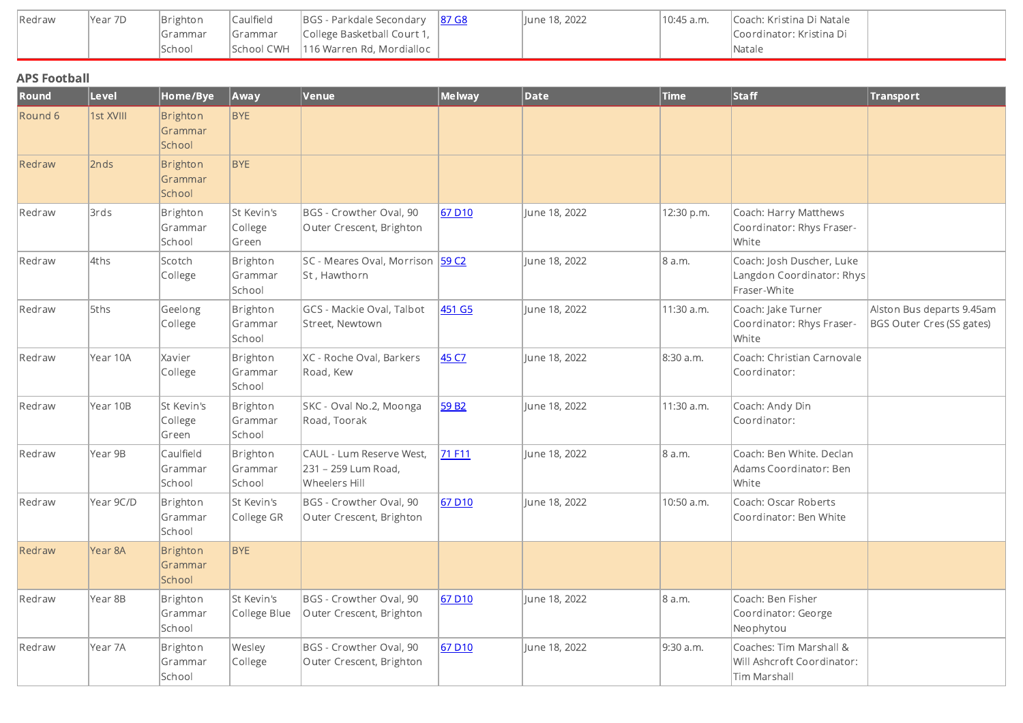| Redraw | 'Year 7D | Brighton | ' Caulfield | BGS - Parkdale Secondary   87 G8       | llune 18, 2022 | '10:45 a.m. | Coach: Kristina Di Natale |  |
|--------|----------|----------|-------------|----------------------------------------|----------------|-------------|---------------------------|--|
|        |          | .Grammar | l Grammar   | College Basketball Court 1, 1          |                |             | Coordinator: Kristina Di  |  |
|        |          | School   |             | School CWH   116 Warren Rd, Mordialloc |                |             | Natale                    |  |

## APS Football

| Round   | Level     | Home/Bye                             | Away                           | <b>Venue</b>                                                     | Melway             | Date          | <b>Time</b> | Staff                                                                  | <b>Transport</b>                                       |
|---------|-----------|--------------------------------------|--------------------------------|------------------------------------------------------------------|--------------------|---------------|-------------|------------------------------------------------------------------------|--------------------------------------------------------|
| Round 6 | 1st XVIII | <b>Brighton</b><br>Grammar<br>School | <b>BYE</b>                     |                                                                  |                    |               |             |                                                                        |                                                        |
| Redraw  | 2nds      | <b>Brighton</b><br>Grammar<br>School | <b>BYE</b>                     |                                                                  |                    |               |             |                                                                        |                                                        |
| Redraw  | 3rds      | Brighton<br>Grammar<br>School        | St Kevin's<br>College<br>Green | BGS - Crowther Oval, 90<br>Outer Crescent, Brighton              | 67 D <sub>10</sub> | June 18, 2022 | 12:30 p.m.  | Coach: Harry Matthews<br>Coordinator: Rhys Fraser-<br>White            |                                                        |
| Redraw  | 4ths      | Scotch<br>College                    | Brighton<br>Grammar<br>School  | SC - Meares Oval, Morrison 59 C2<br>St, Hawthorn                 |                    | June 18, 2022 | 8 a.m.      | Coach: Josh Duscher, Luke<br>Langdon Coordinator: Rhys<br>Fraser-White |                                                        |
| Redraw  | 5ths      | Geelong<br>College                   | Brighton<br>Grammar<br>School  | GCS - Mackie Oval, Talbot<br>Street, Newtown                     | 451 G5             | June 18, 2022 | 11:30 a.m.  | Coach: Jake Turner<br>Coordinator: Rhys Fraser-<br>White               | Alston Bus departs 9.45am<br>BGS Outer Cres (SS gates) |
| Redraw  | Year 10A  | Xavier<br>College                    | Brighton<br>Grammar<br>School  | XC - Roche Oval, Barkers<br>Road, Kew                            | 45 C7              | June 18, 2022 | 8:30 a.m.   | Coach: Christian Carnovale<br>Coordinator:                             |                                                        |
| Redraw  | Year 10B  | St Kevin's<br>College<br>Green       | Brighton<br>Grammar<br>School  | SKC - Oval No.2, Moonga<br>Road, Toorak                          | 59 B <sub>2</sub>  | June 18, 2022 | 11:30 a.m.  | Coach: Andy Din<br>Coordinator:                                        |                                                        |
| Redraw  | Year 9B   | Caulfield<br>Grammar<br>School       | Brighton<br>Grammar<br>School  | CAUL - Lum Reserve West,<br>231 - 259 Lum Road,<br>Wheelers Hill | 71 F11             | June 18, 2022 | 8 a.m.      | Coach: Ben White. Declan<br>Adams Coordinator: Ben<br>White            |                                                        |
| Redraw  | Year 9C/D | Brighton<br>Grammar<br>School        | St Kevin's<br>College GR       | BGS - Crowther Oval, 90<br>Outer Crescent, Brighton              | 67 D <sub>10</sub> | June 18, 2022 | 10:50 a.m.  | Coach: Oscar Roberts<br>Coordinator: Ben White                         |                                                        |
| Redraw  | Year 8A   | Brighton<br>Grammar<br>School        | <b>BYE</b>                     |                                                                  |                    |               |             |                                                                        |                                                        |
| Redraw  | Year 8B   | Brighton<br>Grammar<br>School        | St Kevin's<br>College Blue     | BGS - Crowther Oval, 90<br>Outer Crescent, Brighton              | 67 D10             | June 18, 2022 | 8 a.m.      | Coach: Ben Fisher<br>Coordinator: George<br>Neophytou                  |                                                        |
| Redraw  | Year 7A   | Brighton<br>Grammar<br>School        | Wesley<br>College              | BGS - Crowther Oval, 90<br>Outer Crescent, Brighton              | 67 D <sub>10</sub> | June 18, 2022 | 9:30 a.m.   | Coaches: Tim Marshall &<br>Will Ashcroft Coordinator:<br>Tim Marshall  |                                                        |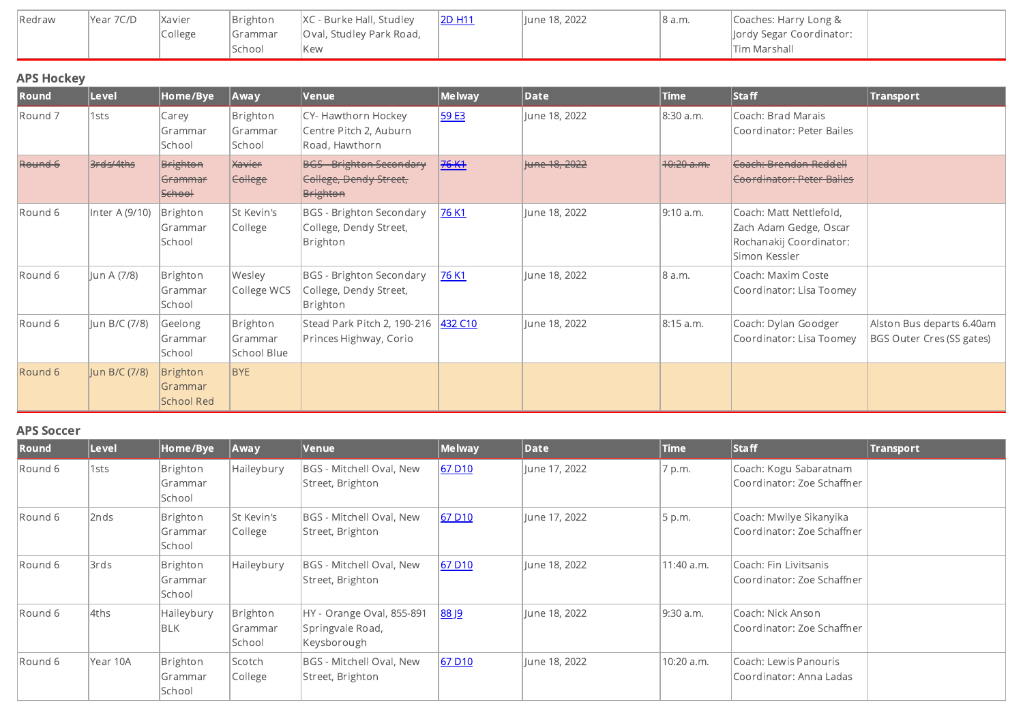| Redraw | Year 7C/D | Xavier  | Brighton       | XC - Burke Hall, Studley        | 2D H11 | June 18, 2022 | 8 a.m. | Coaches: Harry Long &    |  |
|--------|-----------|---------|----------------|---------------------------------|--------|---------------|--------|--------------------------|--|
|        |           | College | <b>Grammar</b> | <b>Oval, Studley Park Road,</b> |        |               |        | lordy Segar Coordinator: |  |
|        |           |         | School         | Kew                             |        |               |        | Tim Marshall             |  |

### APS Hockey

| Round   | Level          | Home/Bye                                                   | Away                               | <b>Venue</b>                                                                 | Melway | <b>Date</b>   | <b>Time</b> | <b>Staff</b>                                                                                  | <b>Transport</b>                                       |
|---------|----------------|------------------------------------------------------------|------------------------------------|------------------------------------------------------------------------------|--------|---------------|-------------|-----------------------------------------------------------------------------------------------|--------------------------------------------------------|
| Round 7 | 1sts           | Carey<br>Grammar<br>School                                 | Brighton<br>Grammar<br>School      | CY- Hawthorn Hockey<br>Centre Pitch 2, Auburn<br>Road, Hawthorn              | 59E3   | June 18, 2022 | 8:30 a.m.   | Coach: Brad Marais<br>Coordinator: Peter Bailes                                               |                                                        |
| Round 6 | 3rds/4ths      | <b>Brighton</b><br><del>Grammar</del><br><del>School</del> | <b>Xavier</b><br><b>College</b>    | <b>BGS - Brighton Secondary</b><br>College, Dendy Street,<br>Brighton        | $76+1$ | Hune 18, 2022 | 40:20 a.m.  | Coach: Brendan Redde <del>ll</del><br>Coordinator: Peter Bailes                               |                                                        |
| Round 6 | Inter A (9/10) | Brighton<br>Grammar<br>School                              | St Kevin's<br>College              | <b>BGS</b> - Brighton Secondary<br>College, Dendy Street,<br><b>Brighton</b> | 76 K1  | June 18, 2022 | 9:10 a.m.   | Coach: Matt Nettlefold,<br>Zach Adam Gedge, Oscar<br>Rochanakij Coordinator:<br>Simon Kessler |                                                        |
| Round 6 | Jun A (7/8)    | Brighton<br>Grammar<br>School                              | Wesley<br>College WCS              | <b>BGS</b> - Brighton Secondary<br>College, Dendy Street,<br><b>Brighton</b> | 76 K1  | June 18, 2022 | 8 a.m.      | Coach: Maxim Coste<br>Coordinator: Lisa Toomey                                                |                                                        |
| Round 6 | Jun B/C (7/8)  | Geelong<br>Grammar<br>School                               | Brighton<br>Grammar<br>School Blue | Stead Park Pitch 2, 190-216   432 C10<br>Princes Highway, Corio              |        | June 18, 2022 | 8:15 a.m.   | Coach: Dylan Goodger<br>Coordinator: Lisa Toomey                                              | Alston Bus departs 6.40am<br>BGS Outer Cres (SS gates) |
| Round 6 | Jun B/C (7/8)  | Brighton<br>Grammar<br><b>School Red</b>                   | <b>BYE</b>                         |                                                                              |        |               |             |                                                                                               |                                                        |

#### APS Soccer

| Round   | Level    | Home/Bye                                    | Away                          | <b>Venue</b>                                                 | Melway             | <b>Date</b>   | Time       | <b>Staff</b>                                           | Transport |
|---------|----------|---------------------------------------------|-------------------------------|--------------------------------------------------------------|--------------------|---------------|------------|--------------------------------------------------------|-----------|
| Round 6 | 1sts     | Brighton<br><b>Grammar</b><br>School        | Haileybury                    | BGS - Mitchell Oval, New<br>Street, Brighton                 | 67 D <sub>10</sub> | June 17, 2022 | 7 p.m.     | Coach: Kogu Sabaratnam<br>Coordinator: Zoe Schaffner   |           |
| Round 6 | 2nds     | Brighton<br><b>Grammar</b><br> School       | St Kevin's<br>College         | BGS - Mitchell Oval, New<br>Street, Brighton                 | 67 D <sub>10</sub> | June 17, 2022 | 5 p.m.     | Coach: Mwilye Sikanyika<br> Coordinator: Zoe Schaffner |           |
| Round 6 | 3rds     | Brighton<br>lGrammar<br> School             | Haileybury                    | BGS - Mitchell Oval, New<br>Street, Brighton                 | 67D10              | June 18, 2022 | 11:40 a.m. | Coach: Fin Livitsanis<br> Coordinator: Zoe Schaffner   |           |
| Round 6 | l4ths    | Haileybury<br><b>BLK</b>                    | Brighton<br>Grammar<br>School | HY - Orange Oval, 855-891<br>Springvale Road,<br>Keysborough | 88 9               | June 18, 2022 | 9:30 a.m.  | Coach: Nick Anson <br> Coordinator: Zoe Schaffner      |           |
| Round 6 | Year 10A | Brighton<br><b>Grammar</b><br><b>School</b> | Scotch<br>College             | BGS - Mitchell Oval, New<br>Street, Brighton                 | 67D10              | June 18, 2022 | 10:20 a.m. | lCoach: Lewis Panouris<br> Coordinator: Anna Ladas     |           |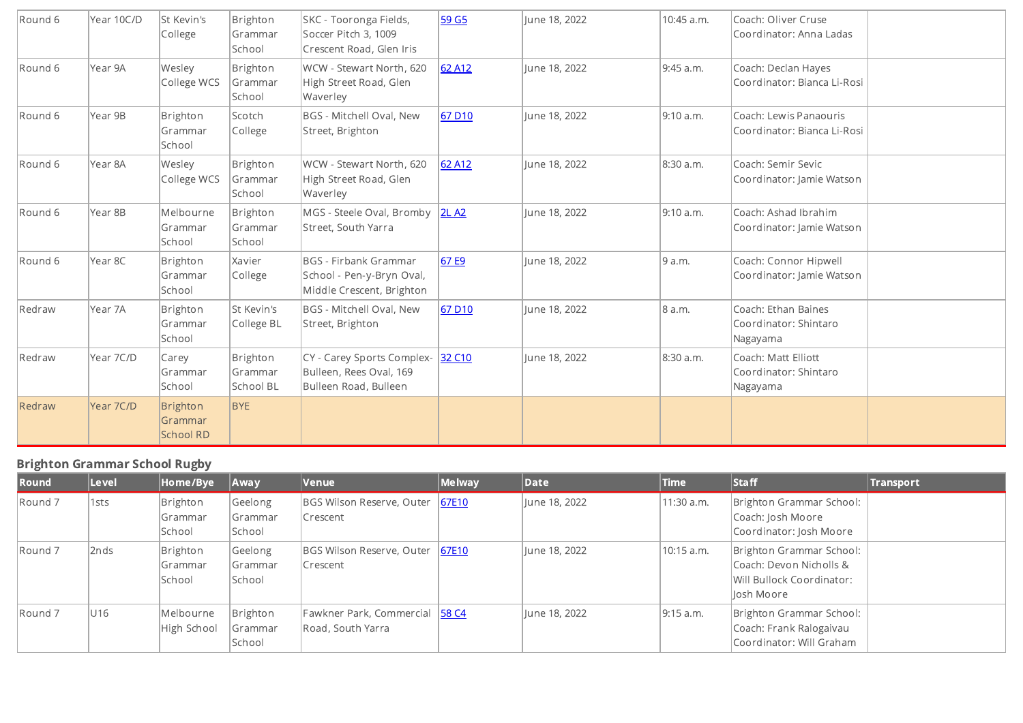| Round 6 | Year 10C/D | <b>St Kevin's</b><br>College            | Brighton<br>Grammar<br>School    | SKC - Tooronga Fields,<br>Soccer Pitch 3, 1009<br>Crescent Road, Glen Iris             | 59 G5              | June 18, 2022 | 10:45 a.m. | Coach: Oliver Cruse<br>Coordinator: Anna Ladas           |
|---------|------------|-----------------------------------------|----------------------------------|----------------------------------------------------------------------------------------|--------------------|---------------|------------|----------------------------------------------------------|
| Round 6 | Year 9A    | Wesley<br>College WCS                   | Brighton<br>Grammar<br>School    | WCW - Stewart North, 620<br>High Street Road, Glen<br>Waverley                         | 62 A12             | June 18, 2022 | 9:45 a.m.  | Coach: Declan Hayes<br>Coordinator: Bianca Li-Rosi       |
| Round 6 | Year 9B    | Brighton<br>Grammar<br>School           | Scotch<br>College                | BGS - Mitchell Oval, New<br>Street, Brighton                                           | 67 D <sub>10</sub> | lune 18, 2022 | 9:10 a.m.  | Coach: Lewis Panaouris<br>Coordinator: Bianca Li-Rosi    |
| Round 6 | Year 8A    | Wesley<br>College WCS                   | Brighton<br>Grammar<br>School    | WCW - Stewart North, 620<br>High Street Road, Glen<br>Waverley                         | 62 A12             | June 18, 2022 | 8:30 a.m.  | Coach: Semir Sevic<br>Coordinator: Jamie Watson          |
| Round 6 | Year 8B    | Melbourne<br><b>Grammar</b><br> School  | Brighton<br>Grammar<br>School    | MGS - Steele Oval, Bromby<br>Street, South Yarra                                       | 2L A2              | June 18, 2022 | 9:10 a.m.  | Coach: Ashad Ibrahim<br>Coordinator: Jamie Watson        |
| Round 6 | Year 8C    | Brighton<br>Grammar<br> School          | Xavier<br>College                | <b>BGS - Firbank Grammar</b><br>School - Pen-y-Bryn Oval,<br>Middle Crescent, Brighton | 67 E9              | June 18, 2022 | 9 a.m.     | Coach: Connor Hipwell<br>Coordinator: Jamie Watson       |
| Redraw  | Year 7A    | Brighton<br><b>Grammar</b><br>School    | <b>St Kevin's</b><br>College BL  | BGS - Mitchell Oval, New<br>Street, Brighton                                           | 67 D <sub>10</sub> | June 18, 2022 | 8 a.m.     | Coach: Ethan Baines<br>Coordinator: Shintaro<br>Nagayama |
| Redraw  | Year 7C/D  | Carey<br><b>Grammar</b><br>School       | Brighton<br>Grammar<br>School BL | CY - Carey Sports Complex- 32 C10<br>Bulleen, Rees Oval, 169<br>Bulleen Road, Bulleen  |                    | June 18, 2022 | 8:30 a.m.  | Coach: Matt Elliott<br>Coordinator: Shintaro<br>Nagayama |
| Redraw  | Year 7C/D  | <b>Brighton</b><br>Grammar<br>School RD | <b>BYE</b>                       |                                                                                        |                    |               |            |                                                          |

## Brighton Grammar School Rugby

| Round              | Level      | Home/Bye                      | Away                           | Venue                                                | Melway | Date          | <b>Time</b>  | Staff                                                                                           | <b>Transport</b> |
|--------------------|------------|-------------------------------|--------------------------------|------------------------------------------------------|--------|---------------|--------------|-------------------------------------------------------------------------------------------------|------------------|
| Round 7            | 1sts       | Brighton<br>Grammar<br>School | Geelong<br>Grammar<br>  School | BGS Wilson Reserve, Outer 67E10<br>Crescent          |        | June 18, 2022 | 11:30 a.m.   | Brighton Grammar School:<br>Coach: Josh Moore<br>Coordinator: Josh Moore                        |                  |
| Round <sub>7</sub> | 2nds       | Brighton<br>Grammar<br>School | Geelong<br>Grammar<br>  School | BGS Wilson Reserve, Outer 67E10<br>Crescent          |        | June 18, 2022 | 10:15 a.m.   | Brighton Grammar School:<br>Coach: Devon Nicholls &<br>Will Bullock Coordinator:<br>llosh Moore |                  |
| Round <sub>7</sub> | <b>U16</b> | Melbourne<br>High School      | Brighton<br>Grammar<br> School | Fawkner Park, Commercial 58 C4<br> Road, South Yarra |        | June 18, 2022 | $19:15$ a.m. | Brighton Grammar School:<br>Coach: Frank Ralogaivau<br>Coordinator: Will Graham                 |                  |